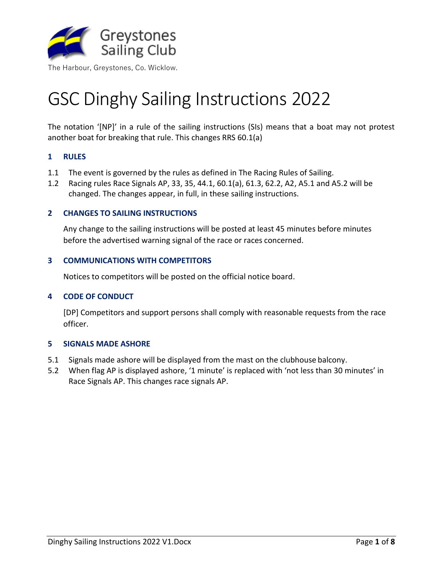

# GSC Dinghy Sailing Instructions 2022

The notation '[NP]' in a rule of the sailing instructions (SIs) means that a boat may not protest another boat for breaking that rule. This changes RRS 60.1(a)

# **1 RULES**

- 1.1 The event is governed by the rules as defined in The Racing Rules of Sailing.
- 1.2 Racing rules Race Signals AP, 33, 35, 44.1, 60.1(a), 61.3, 62.2, A2, A5.1 and A5.2 will be changed. The changes appear, in full, in these sailing instructions.

#### <span id="page-0-0"></span>**2 CHANGES TO SAILING INSTRUCTIONS**

Any change to the sailing instructions will be posted at least 45 minutes before minutes before the advertised warning signal of the race or races concerned.

#### **3 COMMUNICATIONS WITH COMPETITORS**

Notices to competitors will be posted on the official notice board.

# **4 CODE OF CONDUCT**

[DP] Competitors and support persons shall comply with reasonable requests from the race officer.

#### **5 SIGNALS MADE ASHORE**

- 5.1 Signals made ashore will be displayed from the mast on the clubhouse balcony.
- 5.2 When flag AP is displayed ashore, '1 minute' is replaced with 'not less than 30 minutes' in Race Signals AP. This changes race signals AP.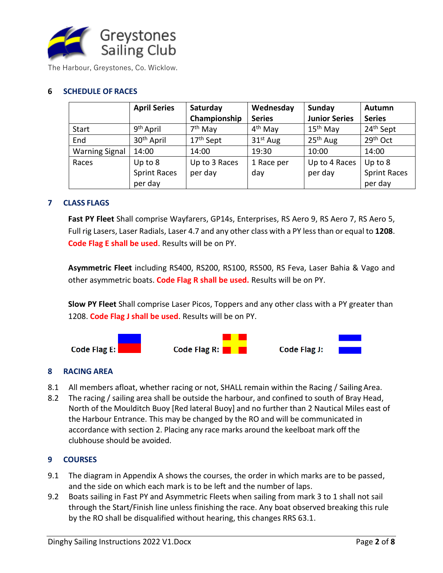

# **6 SCHEDULE OF RACES**

|                       | <b>April Series</b>    | Saturday              | Wednesday           | Sunday               | Autumn                |
|-----------------------|------------------------|-----------------------|---------------------|----------------------|-----------------------|
|                       |                        | Championship          | <b>Series</b>       | <b>Junior Series</b> | <b>Series</b>         |
| Start                 | 9 <sup>th</sup> April  | 7 <sup>th</sup> May   | 4 <sup>th</sup> May | $15th$ May           | 24 <sup>th</sup> Sept |
| End                   | 30 <sup>th</sup> April | 17 <sup>th</sup> Sept | $31st$ Aug          | $25th$ Aug           | 29 <sup>th</sup> Oct  |
| <b>Warning Signal</b> | 14:00                  | 14:00                 | 19:30               | 10:00                | 14:00                 |
| Races                 | Up to 8                | Up to 3 Races         | 1 Race per          | Up to 4 Races        | Up to 8               |
|                       | <b>Sprint Races</b>    | per day               | day                 | per day              | <b>Sprint Races</b>   |
|                       | per day                |                       |                     |                      | per day               |

# **7 CLASS FLAGS**

**Fast PY Fleet** Shall comprise Wayfarers, GP14s, Enterprises, RS Aero 9, RS Aero 7, RS Aero 5, Full rig Lasers, Laser Radials, Laser 4.7 and any other class with a PY less than or equal to **1208**. **Code Flag E shall be used**. Results will be on PY.

**Asymmetric Fleet** including RS400, RS200, RS100, RS500, RS Feva, Laser Bahia & Vago and other asymmetric boats. **Code Flag R shall be used.** Results will be on PY.

**Slow PY Fleet** Shall comprise Laser Picos, Toppers and any other class with a PY greater than 1208. **Code Flag J shall be used**. Results will be on PY.



# **8 RACING AREA**

- 8.1 All members afloat, whether racing or not, SHALL remain within the Racing / SailingArea.
- 8.2 The racing / sailing area shall be outside the harbour, and confined to south of Bray Head, North of the Moulditch Buoy [Red lateral Buoy] and no further than 2 Nautical Miles east of the Harbour Entrance. This may be changed by the RO and will be communicated in accordance with section [2.](#page-0-0) Placing any race marks around the keelboat mark off the clubhouse should be avoided.

# **9 COURSES**

- 9.1 The diagram in Appendix A shows the courses, the order in which marks are to be passed, and the side on which each mark is to be left and the number of laps.
- 9.2 Boats sailing in Fast PY and Asymmetric Fleets when sailing from mark 3 to 1 shall not sail through the Start/Finish line unless finishing the race. Any boat observed breaking this rule by the RO shall be disqualified without hearing, this changes RRS 63.1.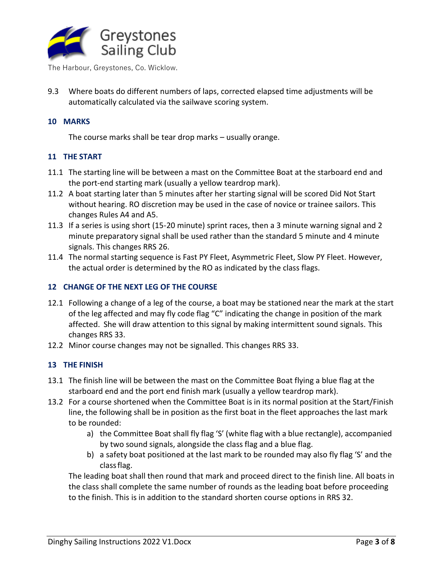

9.3 Where boats do different numbers of laps, corrected elapsed time adjustments will be automatically calculated via the sailwave scoring system.

# **10 MARKS**

The course marks shall be tear drop marks – usually orange.

# **11 THE START**

- 11.1 The starting line will be between a mast on the Committee Boat at the starboard end and the port-end starting mark (usually a yellow teardrop mark).
- 11.2 A boat starting later than 5 minutes after her starting signal will be scored Did Not Start without hearing. RO discretion may be used in the case of novice or trainee sailors. This changes Rules A4 and A5.
- 11.3 If a series is using short (15-20 minute) sprint races, then a 3 minute warning signal and 2 minute preparatory signal shall be used rather than the standard 5 minute and 4 minute signals. This changes RRS 26.
- 11.4 The normal starting sequence is Fast PY Fleet, Asymmetric Fleet, Slow PY Fleet. However, the actual order is determined by the RO as indicated by the class flags.

# **12 CHANGE OF THE NEXT LEG OF THE COURSE**

- 12.1 Following a change of a leg of the course, a boat may be stationed near the mark at the start of the leg affected and may fly code flag "C" indicating the change in position of the mark affected. She will draw attention to this signal by making intermittent sound signals. This changes RRS 33.
- 12.2 Minor course changes may not be signalled. This changes RRS 33.

# **13 THE FINISH**

- 13.1 The finish line will be between the mast on the Committee Boat flying a blue flag at the starboard end and the port end finish mark (usually a yellow teardrop mark).
- 13.2 For a course shortened when the Committee Boat is in its normal position at the Start/Finish line, the following shall be in position as the first boat in the fleet approaches the last mark to be rounded:
	- a) the Committee Boat shall fly flag 'S' (white flag with a blue rectangle), accompanied by two sound signals, alongside the class flag and a blue flag.
	- b) a safety boat positioned at the last mark to be rounded may also fly flag 'S' and the classflag.

The leading boat shall then round that mark and proceed direct to the finish line. All boats in the class shall complete the same number of rounds as the leading boat before proceeding to the finish. This is in addition to the standard shorten course options in RRS 32.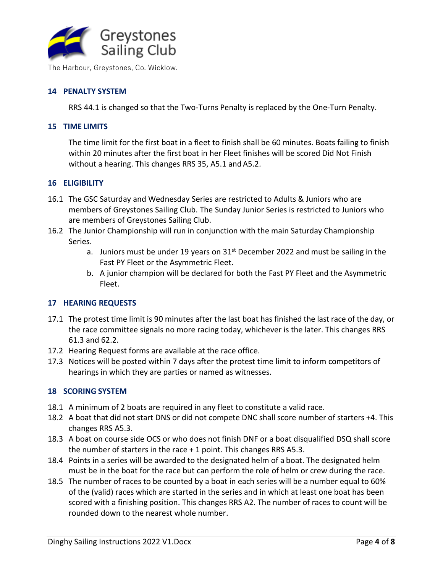

# **14 PENALTY SYSTEM**

RRS 44.1 is changed so that the Two-Turns Penalty is replaced by the One-Turn Penalty.

#### **15 TIME LIMITS**

The time limit for the first boat in a fleet to finish shall be 60 minutes. Boats failing to finish within 20 minutes after the first boat in her Fleet finishes will be scored Did Not Finish without a hearing. This changes RRS 35, A5.1 and A5.2.

#### **16 ELIGIBILITY**

- 16.1 The GSC Saturday and Wednesday Series are restricted to Adults & Juniors who are members of Greystones Sailing Club. The Sunday Junior Series is restricted to Juniors who are members of Greystones Sailing Club.
- 16.2 The Junior Championship will run in conjunction with the main Saturday Championship Series.
	- a. Juniors must be under 19 years on  $31<sup>st</sup>$  December 2022 and must be sailing in the Fast PY Fleet or the Asymmetric Fleet.
	- b. A junior champion will be declared for both the Fast PY Fleet and the Asymmetric Fleet.

# **17 HEARING REQUESTS**

- 17.1 The protest time limit is 90 minutes after the last boat has finished the last race of the day, or the race committee signals no more racing today, whichever is the later. This changes RRS 61.3 and 62.2.
- 17.2 Hearing Request forms are available at the race office.
- 17.3 Notices will be posted within 7 days after the protest time limit to inform competitors of hearings in which they are parties or named as witnesses.

#### **18 SCORING SYSTEM**

- 18.1 A minimum of 2 boats are required in any fleet to constitute a valid race.
- 18.2 A boat that did not start DNS or did not compete DNC shall score number of starters +4. This changes RRS A5.3.
- 18.3 A boat on course side OCS or who does not finish DNF or a boat disqualified DSQ shall score the number of starters in the race + 1 point. This changes RRS A5.3.
- 18.4 Points in a series will be awarded to the designated helm of a boat. The designated helm must be in the boat for the race but can perform the role of helm or crew during the race.
- 18.5 The number of races to be counted by a boat in each series will be a number equal to 60% of the (valid) races which are started in the series and in which at least one boat has been scored with a finishing position. This changes RRS A2. The number of races to count will be rounded down to the nearest whole number.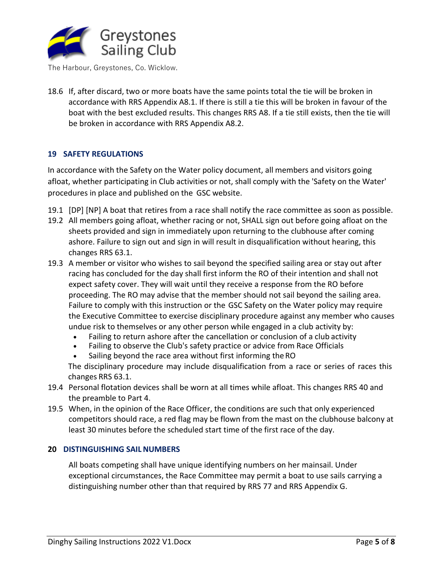

18.6 If, after discard, two or more boats have the same points total the tie will be broken in accordance with RRS Appendix A8.1. If there is still a tie this will be broken in favour of the boat with the best excluded results. This changes RRS A8. If a tie still exists, then the tie will be broken in accordance with RRS Appendix A8.2.

# **19 SAFETY REGULATIONS**

In accordance with the Safety on the Water policy document, all members and visitors going afloat, whether participating in Club activities or not, shall comply with the 'Safety on the Water' procedures in place and published on the GSC website.

- 19.1 [DP] [NP] A boat that retires from a race shall notify the race committee as soon as possible.
- 19.2 All members going afloat, whether racing or not, SHALL sign out before going afloat on the sheets provided and sign in immediately upon returning to the clubhouse after coming ashore. Failure to sign out and sign in will result in disqualification without hearing, this changes RRS 63.1.
- 19.3 A member or visitor who wishes to sail beyond the specified sailing area or stay out after racing has concluded for the day shall first inform the RO of their intention and shall not expect safety cover. They will wait until they receive a response from the RO before proceeding. The RO may advise that the member should not sail beyond the sailing area. Failure to comply with this instruction or the GSC Safety on the Water policy may require the Executive Committee to exercise disciplinary procedure against any member who causes undue risk to themselves or any other person while engaged in a club activity by:
	- Failing to return ashore after the cancellation or conclusion of a club activity
	- Failing to observe the Club's safety practice or advice from Race Officials
	- Sailing beyond the race area without first informing the RO

The disciplinary procedure may include disqualification from a race or series of races this changes RRS 63.1.

- 19.4 Personal flotation devices shall be worn at all times while afloat. This changes RRS 40 and the preamble to Part 4.
- 19.5 When, in the opinion of the Race Officer, the conditions are such that only experienced competitors should race, a red flag may be flown from the mast on the clubhouse balcony at least 30 minutes before the scheduled start time of the first race of the day.

# **20 DISTINGUISHING SAIL NUMBERS**

All boats competing shall have unique identifying numbers on her mainsail. Under exceptional circumstances, the Race Committee may permit a boat to use sails carrying a distinguishing number other than that required by RRS 77 and RRS Appendix G.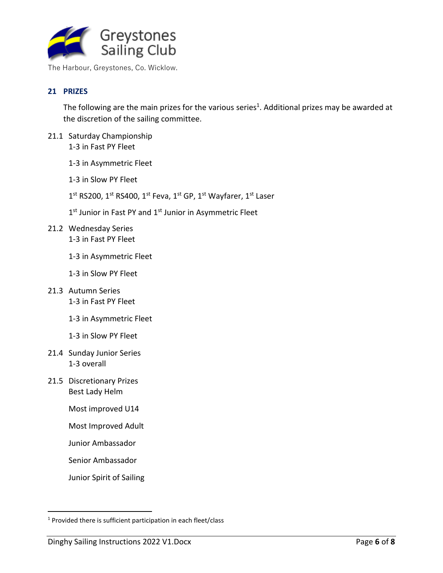

# **21 PRIZES**

The following are the main prizes for the various series<sup>1</sup>. Additional prizes may be awarded at the discretion of the sailing committee.

- 21.1 Saturday Championship 1-3 in Fast PY Fleet
	- 1-3 in Asymmetric Fleet
	- 1-3 in Slow PY Fleet
	- 1<sup>st</sup> RS200, 1<sup>st</sup> RS400, 1<sup>st</sup> Feva, 1<sup>st</sup> GP, 1<sup>st</sup> Wayfarer, 1<sup>st</sup> Laser
	- 1<sup>st</sup> Junior in Fast PY and 1<sup>st</sup> Junior in Asymmetric Fleet
- 21.2 Wednesday Series 1-3 in Fast PY Fleet
	- 1-3 in Asymmetric Fleet
	- 1-3 in Slow PY Fleet
- 21.3 Autumn Series 1-3 in Fast PY Fleet
	- 1-3 in Asymmetric Fleet
	- 1-3 in Slow PY Fleet
- 21.4 Sunday Junior Series 1-3 overall
- 21.5 Discretionary Prizes Best Lady Helm
	- Most improved U14
	- Most Improved Adult
	- Junior Ambassador
	- Senior Ambassador
	- Junior Spirit of Sailing

<sup>&</sup>lt;sup>1</sup> Provided there is sufficient participation in each fleet/class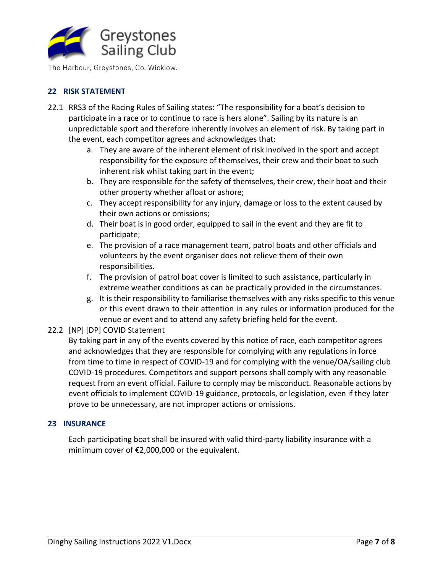

# **22 RISK STATEMENT**

- 22.1 RRS3 of the Racing Rules of Sailing states: "The responsibility for a boat's decision to participate in a race or to continue to race is hers alone". Sailing by its nature is an unpredictable sport and therefore inherently involves an element of risk. By taking part in the event, each competitor agrees and acknowledges that:
	- a. They are aware of the inherent element of risk involved in the sport and accept responsibility for the exposure of themselves, their crew and their boat to such inherent risk whilst taking part in the event;
	- b. They are responsible for the safety of themselves, their crew, their boat and their other property whether afloat or ashore;
	- c. They accept responsibility for any injury, damage or loss to the extent caused by their own actions or omissions;
	- d. Their boat is in good order, equipped to sail in the event and they are fit to participate;
	- e. The provision of a race management team, patrol boats and other officials and volunteers by the event organiser does not relieve them of their own responsibilities.
	- f. The provision of patrol boat cover is limited to such assistance, particularly in extreme weather conditions as can be practically provided in the circumstances.
	- g. It is their responsibility to familiarise themselves with any risks specific to this venue or this event drawn to their attention in any rules or information produced for the venue or event and to attend any safety briefing held for the event.

# 22.2 [NP] [DP] COVID Statement

By taking part in any of the events covered by this notice of race, each competitor agrees and acknowledges that they are responsible for complying with any regulations in force from time to time in respect of COVID-19 and for complying with the venue/OA/sailing club COVID-19 procedures. Competitors and support persons shall comply with any reasonable request from an event official. Failure to comply may be misconduct. Reasonable actions by event officials to implement COVID-19 guidance, protocols, or legislation, even if they later prove to be unnecessary, are not improper actions or omissions.

# **23 INSURANCE**

Each participating boat shall be insured with valid third-party liability insurance with a minimum cover of €2,000,000 or the equivalent.